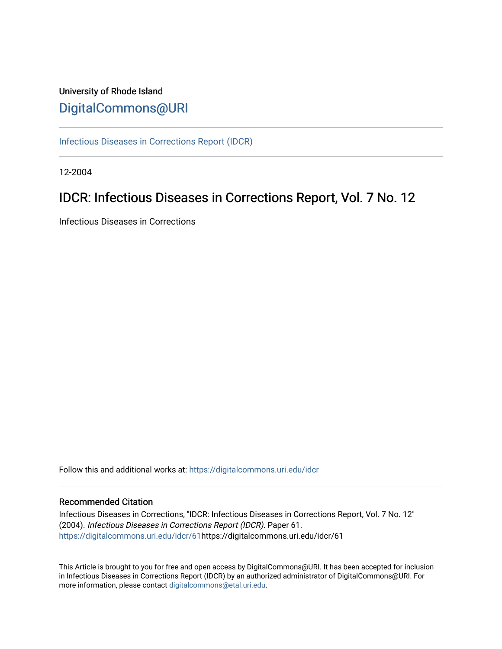### University of Rhode Island [DigitalCommons@URI](https://digitalcommons.uri.edu/)

[Infectious Diseases in Corrections Report \(IDCR\)](https://digitalcommons.uri.edu/idcr)

12-2004

# IDCR: Infectious Diseases in Corrections Report, Vol. 7 No. 12

Infectious Diseases in Corrections

Follow this and additional works at: [https://digitalcommons.uri.edu/idcr](https://digitalcommons.uri.edu/idcr?utm_source=digitalcommons.uri.edu%2Fidcr%2F61&utm_medium=PDF&utm_campaign=PDFCoverPages)

### Recommended Citation

Infectious Diseases in Corrections, "IDCR: Infectious Diseases in Corrections Report, Vol. 7 No. 12" (2004). Infectious Diseases in Corrections Report (IDCR). Paper 61. [https://digitalcommons.uri.edu/idcr/61h](https://digitalcommons.uri.edu/idcr/61?utm_source=digitalcommons.uri.edu%2Fidcr%2F61&utm_medium=PDF&utm_campaign=PDFCoverPages)ttps://digitalcommons.uri.edu/idcr/61

This Article is brought to you for free and open access by DigitalCommons@URI. It has been accepted for inclusion in Infectious Diseases in Corrections Report (IDCR) by an authorized administrator of DigitalCommons@URI. For more information, please contact [digitalcommons@etal.uri.edu.](mailto:digitalcommons@etal.uri.edu)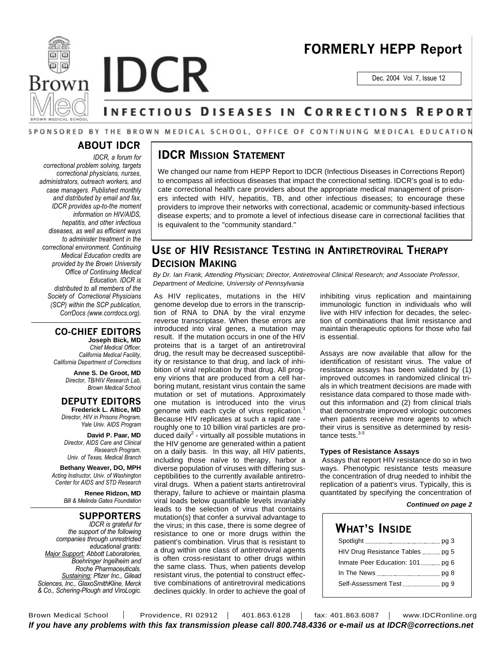



Dec. 2004 Vol. 7, Issue 12

### NFECTIOUS DISEASES IN CORRECTIONS REPORT

### SPONSORED BY THE BROWN MEDICAL SCHOOL, OFFICE OF CONTINUING MEDICAL EDUCATION

### **ABOUT IDCR**

*IDCR, a forum for correctional problem solving, targets correctional physicians, nurses, administrators, outreach workers, and case managers. Published monthly and distributed by email and fax, IDCR provides up-to-the moment information on HIV/AIDS, hepatitis, and other infectious diseases, as well as efficient ways to administer treatment in the correctional environment. Continuing Medical Education credits are provided by the Brown University Office of Continuing Medical Education. IDCR is distributed to all members of the Society of Correctional Physicians (SCP) within the SCP publication, CorrDocs (www.corrdocs.org).*

### **CO-CHIEF EDITORS**

**Joseph Bick, MD** *Chief Medical Officer, California Medical Facility, California Department of Corrections*

> **Anne S. De Groot, MD** *Director, TB/HIV Research Lab, Brown Medical School*

#### **DEPUTY EDITORS Frederick L. Altice, MD**

*Director, HIV in Prisons Program, Yale Univ. AIDS Program*

**David P. Paar, MD** *Director, AIDS Care and Clinical Research Program, Univ. of Texas, Medical Branch*

**Bethany Weaver, DO, MPH** *Acting Instructor, Univ. of Washington Center for AIDS and STD Research*

> **Renee Ridzon, MD** *Bill & Melinda Gates Foundation*

### **SUPPORTERS**

*IDCR is grateful for the support of the following companies through unrestricted educational grants: Major Support: Abbott Laboratories, Boehringer Ingelheim and Roche Pharmaceuticals. Sustaining: Pfizer Inc., Gilead Sciences, Inc., GlaxoSmithKline, Merck & Co., Schering-Plough and ViroLogic.*

### **IDCR MISSION STATEMENT**

We changed our name from HEPP Report to IDCR (Infectious Diseases in Corrections Report) to encompass all infectious diseases that impact the correctional setting. IDCR's goal is to educate correctional health care providers about the appropriate medical management of prisoners infected with HIV, hepatitis, TB, and other infectious diseases; to encourage these providers to improve their networks with correctional, academic or community-based infectious disease experts; and to promote a level of infectious disease care in correctional facilities that is equivalent to the "community standard."

### **USE OF HIV RESISTANCE TESTING IN ANTIRETROVIRAL THERAPY DECISION MAKING**

*By Dr. Ian Frank, Attending Physician; Director, Antiretroviral Clinical Research; and Associate Professor, Department of Medicine, University of Pennsylvania*

As HIV replicates, mutations in the HIV genome develop due to errors in the transcription of RNA to DNA by the viral enzyme reverse transcriptase. When these errors are introduced into viral genes, a mutation may result. If the mutation occurs in one of the HIV proteins that is a target of an antiretroviral drug, the result may be decreased susceptibility or resistance to that drug, and lack of inhibition of viral replication by that drug. All progeny virions that are produced from a cell harboring mutant, resistant virus contain the same mutation or set of mutations. Approximately one mutation is introduced into the virus genome with each cycle of virus replication.<sup>1</sup> Because HIV replicates at such a rapid rate roughly one to 10 billion viral particles are produced daily<sup>2</sup> - virtually all possible mutations in the HIV genome are generated within a patient on a daily basis. In this way, all HIV patients, including those naïve to therapy, harbor a diverse population of viruses with differing susceptibilities to the currently available antiretroviral drugs. When a patient starts antiretroviral therapy, failure to achieve or maintain plasma viral loads below quantifiable levels invariably leads to the selection of virus that contains mutation(s) that confer a survival advantage to the virus; in this case, there is some degree of resistance to one or more drugs within the patient's combination. Virus that is resistant to a drug within one class of antiretroviral agents is often cross-resistant to other drugs within the same class. Thus, when patients develop resistant virus, the potential to construct effective combinations of antiretroviral medications declines quickly. In order to achieve the goal of inhibiting virus replication and maintaining immunologic function in individuals who will live with HIV infection for decades, the selection of combinations that limit resistance and maintain therapeutic options for those who fail is essential.

Assays are now available that allow for the identification of resistant virus. The value of resistance assays has been validated by (1) improved outcomes in randomized clinical trials in which treatment decisions are made with resistance data compared to those made without this information and (2) from clinical trials that demonstrate improved virologic outcomes when patients receive more agents to which their virus is sensitive as determined by resistance tests. 3-5

#### **Types of Resistance Assays**

Assays that report HIV resistance do so in two ways. Phenotypic resistance tests measure the concentration of drug needed to inhibit the replication of a patient's virus. Typically, this is quantitated by specifying the concentration of

#### *Continued on page 2*

### **WHAT'S INSIDE**

| Inmate Peer Education: 101 pg 6 |  |
|---------------------------------|--|
|                                 |  |
|                                 |  |

Brown Medical School | Providence, RI 02912 | 401.863.6128 | fax: 401.863.6087 | www.IDCRonline.org *If you have any problems with this fax transmission please call 800.748.4336 or e-mail us at IDCR@corrections.net*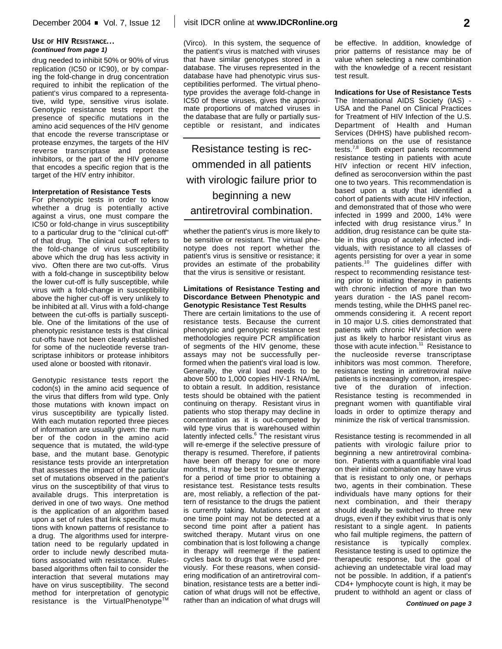### **USE OF HIV RESISTANCE...** *(continued from page 1)*

drug needed to inhibit 50% or 90% of virus replication (IC50 or IC90), or by comparing the fold-change in drug concentration required to inhibit the replication of the patient's virus compared to a representative, wild type, sensitive virus isolate. Genotypic resistance tests report the presence of specific mutations in the amino acid sequences of the HIV genome that encode the reverse transcriptase or protease enzymes, the targets of the HIV reverse transcriptase and protease inhibitors, or the part of the HIV genome that encodes a specific region that is the target of the HIV entry inhibitor.

### **Interpretation of Resistance Tests**

For phenotypic tests in order to know whether a drug is potentially active against a virus, one must compare the IC50 or fold-change in virus susceptibility to a particular drug to the "clinical cut-off" of that drug. The clinical cut-off refers to the fold-change of virus susceptibility above which the drug has less activity in vivo. Often there are two cut-offs. Virus with a fold-change in susceptibility below the lower cut-off is fully susceptible, while virus with a fold-change in susceptibility above the higher cut-off is very unlikely to be inhibited at all. Virus with a fold-change between the cut-offs is partially susceptible. One of the limitations of the use of phenotypic resistance tests is that clinical cut-offs have not been clearly established for some of the nucleotide reverse transcriptase inhibitors or protease inhibitors used alone or boosted with ritonavir.

Genotypic resistance tests report the codon(s) in the amino acid sequence of the virus that differs from wild type. Only those mutations with known impact on virus susceptibility are typically listed. With each mutation reported three pieces of information are usually given: the number of the codon in the amino acid sequence that is mutated, the wild-type base, and the mutant base. Genotypic resistance tests provide an interpretation that assesses the impact of the particular set of mutations observed in the patient's virus on the susceptibility of that virus to available drugs. This interpretation is derived in one of two ways. One method is the application of an algorithm based upon a set of rules that link specific mutations with known patterns of resistance to a drug. The algorithms used for interpretation need to be regularly updated in order to include newly described mutations associated with resistance. Rulesbased algorithms often fail to consider the interaction that several mutations may have on virus susceptibility. The second method for interpretation of genotypic resistance is the VirtualPhenotype™

(Virco). In this system, the sequence of the patient's virus is matched with viruses that have similar genotypes stored in a database. The viruses represented in the database have had phenotypic virus susceptibilities performed. The virtual phenotype provides the average fold-change in IC50 of these viruses, gives the approximate proportions of matched viruses in the database that are fully or partially susceptible or resistant, and indicates

Resistance testing is recommended in all patients with virologic failure prior to beginning a new antiretroviral combination.

whether the patient's virus is more likely to be sensitive or resistant. The virtual phenotype does not report whether the patient's virus is sensitive or resistance; it provides an estimate of the probability that the virus is sensitive or resistant.

#### **Limitations of Resistance Testing and Discordance Between Phenotypic and Genotypic Resistance Test Results**

There are certain limitations to the use of resistance tests. Because the current phenotypic and genotypic resistance test methodologies require PCR amplification of segments of the HIV genome, these assays may not be successfully performed when the patient's viral load is low. Generally, the viral load needs to be above 500 to 1,000 copies HIV-1 RNA/mL to obtain a result. In addition, resistance tests should be obtained with the patient continuing on therapy. Resistant virus in patients who stop therapy may decline in concentration as it is out-competed by wild type virus that is warehoused within latently infected cells. 6 The resistant virus will re-emerge if the selective pressure of therapy is resumed. Therefore, if patients have been off therapy for one or more months, it may be best to resume therapy for a period of time prior to obtaining a resistance test. Resistance tests results are, most reliably, a reflection of the pattern of resistance to the drugs the patient is currently taking. Mutations present at one time point may not be detected at a second time point after a patient has switched therapy. Mutant virus on one combination that is lost following a change in therapy will reemerge if the patient cycles back to drugs that were used previously. For these reasons, when considering modification of an antiretroviral combination, resistance tests are a better indication of what drugs will not be effective, rather than an indication of what drugs will

be effective. In addition, knowledge of prior patterns of resistance may be of value when selecting a new combination with the knowledge of a recent resistant test result.

**Indications for Use of Resistance Tests**

The International AIDS Society (IAS) - USA and the Panel on Clinical Practices for Treatment of HIV Infection of the U.S. Department of Health and Human Services (DHHS) have published recommendations on the use of resistance tests.<sup>7,8</sup> Both expert panels recommend resistance testing in patients with acute HIV infection or recent HIV infection, defined as seroconversion within the past one to two years. This recommendation is based upon a study that identified a cohort of patients with acute HIV infection, and demonstrated that of those who were infected in 1999 and 2000, 14% were infected with drug resistance virus.<sup>9</sup> In addition, drug resistance can be quite stable in this group of acutely infected individuals, with resistance to all classes of agents persisting for over a year in some patients. 10 The guidelines differ with respect to recommending resistance testing prior to initiating therapy in patients with chronic infection of more than two years duration - the IAS panel recommends testing, while the DHHS panel recommends considering it. A recent report in 10 major U.S. cities demonstrated that patients with chronic HIV infection were just as likely to harbor resistant virus as those with acute infection. <sup>11</sup> Resistance to the nucleoside reverse transcriptase inhibitors was most common. Therefore, resistance testing in antiretroviral naïve patients is increasingly common, irrespective of the duration of infection. Resistance testing is recommended in pregnant women with quantifiable viral loads in order to optimize therapy and minimize the risk of vertical transmission.

Resistance testing is recommended in all patients with virologic failure prior to beginning a new antiretroviral combination. Patients with a quantifiable viral load on their initial combination may have virus that is resistant to only one, or perhaps two, agents in their combination. These individuals have many options for their next combination, and their therapy should ideally be switched to three new drugs, even if they exhibit virus that is only resistant to a single agent. In patients who fail multiple regimens, the pattern of resistance is typically complex. Resistance testing is used to optimize the therapeutic response, but the goal of achieving an undetectable viral load may not be possible. In addition, if a patient's CD4+ lymphocyte count is high, it may be prudent to withhold an agent or class of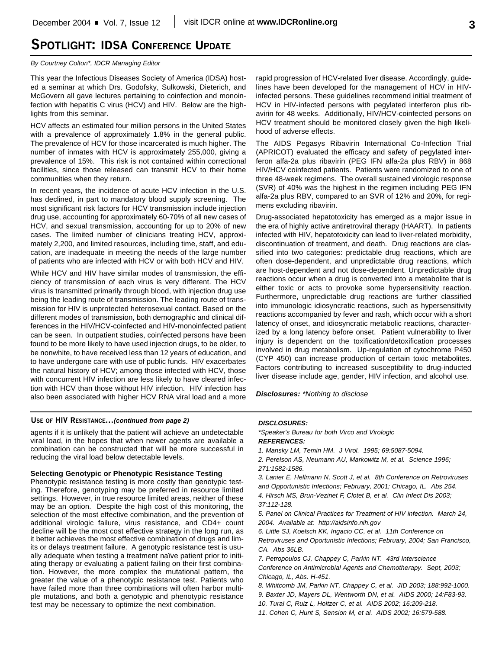### **SPOTLIGHT: IDSA CONFERENCE UPDATE**

#### *By Courtney Colton\*, IDCR Managing Editor*

This year the Infectious Diseases Society of America (IDSA) hosted a seminar at which Drs. Godofsky, Sulkowski, Dieterich, and McGovern all gave lectures pertaining to coinfection and monoinfection with hepatitis C virus (HCV) and HIV. Below are the highlights from this seminar.

HCV affects an estimated four million persons in the United States with a prevalence of approximately 1.8% in the general public. The prevalence of HCV for those incarcerated is much higher. The number of inmates with HCV is approximately 255,000, giving a prevalence of 15%. This risk is not contained within correctional facilities, since those released can transmit HCV to their home communities when they return.

In recent years, the incidence of acute HCV infection in the U.S. has declined, in part to mandatory blood supply screening. The most significant risk factors for HCV transmission include injection drug use, accounting for approximately 60-70% of all new cases of HCV, and sexual transmission, accounting for up to 20% of new cases. The limited number of clinicians treating HCV, approximately 2,200, and limited resources, including time, staff, and education, are inadequate in meeting the needs of the large number of patients who are infected with HCV or with both HCV and HIV.

While HCV and HIV have similar modes of transmission, the efficiency of transmission of each virus is very different. The HCV virus is transmitted primarily through blood, with injection drug use being the leading route of transmission. The leading route of transmission for HIV is unprotected heterosexual contact. Based on the different modes of transmission, both demographic and clinical differences in the HIV/HCV-coinfected and HIV-monoinfected patient can be seen. In outpatient studies, coinfected persons have been found to be more likely to have used injection drugs, to be older, to be nonwhite, to have received less than 12 years of education, and to have undergone care with use of public funds. HIV exacerbates the natural history of HCV; among those infected with HCV, those with concurrent HIV infection are less likely to have cleared infection with HCV than those without HIV infection. HIV infection has also been associated with higher HCV RNA viral load and a more

rapid progression of HCV-related liver disease. Accordingly, guidelines have been developed for the management of HCV in HIVinfected persons. These guidelines recommend initial treatment of HCV in HIV-infected persons with pegylated interferon plus ribavirin for 48 weeks. Additionally, HIV/HCV-coinfected persons on HCV treatment should be monitored closely given the high likelihood of adverse effects.

The AIDS Pegasys Ribavirin International Co-Infection Trial (APRICOT) evaluated the efficacy and safety of pegylated interferon alfa-2a plus ribavirin (PEG IFN alfa-2a plus RBV) in 868 HIV/HCV coinfected patients. Patients were randomized to one of three 48-week regimens. The overall sustained virologic response (SVR) of 40% was the highest in the regimen including PEG IFN alfa-2a plus RBV, compared to an SVR of 12% and 20%, for regimens excluding ribavirin.

Drug-associated hepatotoxicity has emerged as a major issue in the era of highly active antiretroviral therapy (HAART). In patients infected with HIV, hepatotoxicity can lead to liver-related morbidity, discontinuation of treatment, and death. Drug reactions are classified into two categories: predictable drug reactions, which are often dose-dependent, and unpredictable drug reactions, which are host-dependent and not dose-dependent. Unpredictable drug reactions occur when a drug is converted into a metabolite that is either toxic or acts to provoke some hypersensitivity reaction. Furthermore, unpredictable drug reactions are further classified into immunologic idiosyncratic reactions, such as hypersensitivity reactions accompanied by fever and rash, which occur with a short latency of onset, and idiosyncratic metabolic reactions, characterized by a long latency before onset. Patient vulnerability to liver injury is dependent on the toxification/detoxification processes involved in drug metabolism. Up-regulation of cytochrome P450 (CYP 450) can increase production of certain toxic metabolites. Factors contributing to increased susceptibility to drug-inducted liver disease include age, gender, HIV infection, and alcohol use.

*Disclosures: \*Nothing to disclose* 

#### **USE OF HIV RESISTANCE...***(continued from page 2)*

agents if it is unlikely that the patient will achieve an undetectable viral load, in the hopes that when newer agents are available a combination can be constructed that will be more successful in reducing the viral load below detectable levels.

#### **Selecting Genotypic or Phenotypic Resistance Testing**

Phenotypic resistance testing is more costly than genotypic testing. Therefore, genotyping may be preferred in resource limited settings. However, in true resource limited areas, neither of these may be an option. Despite the high cost of this monitoring, the selection of the most effective combination, and the prevention of additional virologic failure, virus resistance, and CD4+ count decline will be the most cost effective strategy in the long run, as it better achieves the most effective combination of drugs and limits or delays treatment failure. A genotypic resistance test is usually adequate when testing a treatment naïve patient prior to initiating therapy or evaluating a patient failing on their first combination. However, the more complex the mutational pattern, the greater the value of a phenotypic resistance test. Patients who have failed more than three combinations will often harbor multiple mutations, and both a genotypic and phenotypic resistance test may be necessary to optimize the next combination.

#### *DISCLOSURES:*

*\*Speaker's Bureau for both Virco and Virologic REFERENCES:*

*1. Mansky LM, Temin HM. J Virol. 1995; 69:5087-5094.*

*2. Perelson AS, Neumann AU, Markowitz M, et al. Science 1996; 271:1582-1586.* 

*3. Lanier E, Hellmann N, Scott J, et al. 8th Conference on Retroviruses and Opportunistic Infections; February, 2001; Chicago, IL. Abs 254. 4. Hirsch MS, Brun-Vezinet F, Clotet B, et al. Clin Infect Dis 2003; 37:112-128.*

*5. Panel on Clinical Practices for Treatment of HIV infection. March 24, 2004. Available at: http://aidsinfo.nih.gov*

*6. Little SJ, Koelsch KK, Ingacio CC, et al. 11th Conference on Retroviruses and Oportunistic Infections; February, 2004; San Francisco, CA. Abs 36LB.*

*7. Petropoulos CJ, Chappey C, Parkin NT. 43rd Interscience Conference on Antimicrobial Agents and Chemotherapy. Sept, 2003; Chicago, IL, Abs. H-451.* 

*8. Whitcomb JM, Parkin NT, Chappey C, et al. JID 2003; 188:992-1000. 9. Baxter JD, Mayers DL, Wentworth DN, et al. AIDS 2000; 14:F83-93. 10. Tural C, Ruiz L, Holtzer C, et al. AIDS 2002; 16:209-218.*

*11. Cohen C, Hunt S, Sension M, et al. AIDS 2002; 16:579-588.*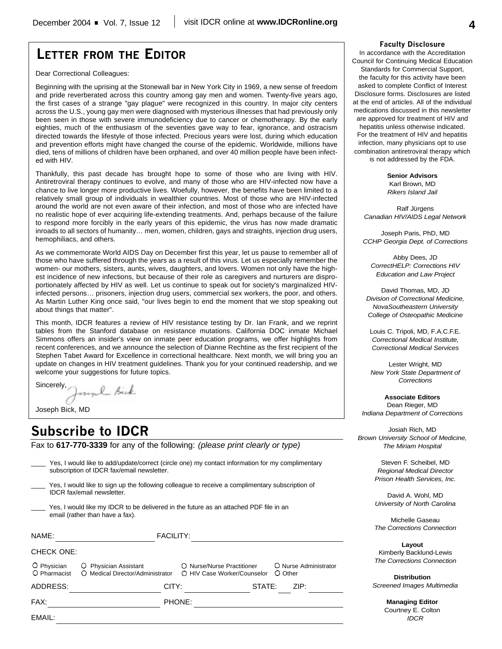## **LETTER FROM THE EDITOR**

Dear Correctional Colleagues:

Beginning with the uprising at the Stonewall bar in New York City in 1969, a new sense of freedom and pride reverberated across this country among gay men and women. Twenty-five years ago, the first cases of a strange "gay plague" were recognized in this country. In major city centers across the U.S., young gay men were diagnosed with mysterious illnesses that had previously only been seen in those with severe immunodeficiency due to cancer or chemotherapy. By the early eighties, much of the enthusiasm of the seventies gave way to fear, ignorance, and ostracism directed towards the lifestyle of those infected. Precious years were lost, during which education and prevention efforts might have changed the course of the epidemic. Worldwide, millions have died, tens of millions of children have been orphaned, and over 40 million people have been infected with HIV.

Thankfully, this past decade has brought hope to some of those who are living with HIV. Antiretroviral therapy continues to evolve, and many of those who are HIV-infected now have a chance to live longer more productive lives. Woefully, however, the benefits have been limited to a relatively small group of individuals in wealthier countries. Most of those who are HIV-infected around the world are not even aware of their infection, and most of those who are infected have no realistic hope of ever acquiring life-extending treatments. And, perhaps because of the failure to respond more forcibly in the early years of this epidemic, the virus has now made dramatic inroads to all sectors of humanity… men, women, children, gays and straights, injection drug users, hemophiliacs, and others.

As we commemorate World AIDS Day on December first this year, let us pause to remember all of those who have suffered through the years as a result of this virus. Let us especially remember the women- our mothers, sisters, aunts, wives, daughters, and lovers. Women not only have the highest incidence of new infections, but because of their role as caregivers and nurturers are disproportionately affected by HIV as well. Let us continue to speak out for society's marginalized HIVinfected persons… prisoners, injection drug users, commercial sex workers, the poor, and others. As Martin Luther King once said, "our lives begin to end the moment that we stop speaking out about things that matter".

This month, IDCR features a review of HIV resistance testing by Dr. Ian Frank, and we reprint tables from the Stanford database on resistance mutations. California DOC inmate Michael Simmons offers an insider's view on inmate peer education programs, we offer highlights from recent conferences, and we announce the selection of Dianne Rechtine as the first recipient of the Stephen Tabet Award for Excellence in correctional healthcare. Next month, we will bring you an update on changes in HIV treatment guidelines. Thank you for your continued readership, and we welcome your suggestions for future topics.

Sincerely, Joseph Bick<br>Joseph Bick, MD

Joseph Bick, MD

### **Subscribe to IDCR**

Fax to **617-770-3339** for any of the following: *(please print clearly or type)*

| Yes, I would like to add/update/correct (circle one) my contact information for my complimentary |  |  |
|--------------------------------------------------------------------------------------------------|--|--|
| subscription of IDCR fax/email newsletter.                                                       |  |  |
|                                                                                                  |  |  |

- Yes, I would like to sign up the following colleague to receive a complimentary subscription of IDCR fax/email newsletter.
- Yes, I would like my IDCR to be delivered in the future as an attached PDF file in an email (rather than have a fax).

| NAME:                       |                                                           | <b>FACILITY:</b> |                                                           |        |         |                       |
|-----------------------------|-----------------------------------------------------------|------------------|-----------------------------------------------------------|--------|---------|-----------------------|
| <b>CHECK ONE:</b>           |                                                           |                  |                                                           |        |         |                       |
| O Physician<br>O Pharmacist | O Physician Assistant<br>O Medical Director/Administrator |                  | O Nurse/Nurse Practitioner<br>○ HIV Case Worker/Counselor |        | O Other | O Nurse Administrator |
| ADDRESS:                    |                                                           | CITY:            |                                                           | STATE: |         | ZIP:                  |
| FAX:                        |                                                           | PHONE:           |                                                           |        |         |                       |
| EMAIL:                      |                                                           |                  |                                                           |        |         |                       |

#### **Faculty Disclosure**

In accordance with the Accreditation Council for Continuing Medical Education Standards for Commercial Support, the faculty for this activity have been asked to complete Conflict of Interest Disclosure forms. Disclosures are listed at the end of articles. All of the individual medications discussed in this newsletter are approved for treatment of HIV and hepatitis unless otherwise indicated. For the treatment of HIV and hepatitis infection, many physicians opt to use combination antiretroviral therapy which is not addressed by the FDA.

> **Senior Advisors** Karl Brown, MD *Rikers Island Jail*

Ralf Jürgens *Canadian HIV/AIDS Legal Network*

Joseph Paris, PhD, MD *CCHP Georgia Dept. of Corrections*

Abby Dees, JD *CorrectHELP: Corrections HIV Education and Law Project*

David Thomas, MD, JD *Division of Correctional Medicine, NovaSoutheastern University College of Osteopathic Medicine*

Louis C. Tripoli, MD, F.A.C.F.E. *Correctional Medical Institute, Correctional Medical Services*

Lester Wright, MD *New York State Department of Corrections*

**Associate Editors**

Dean Rieger, MD *Indiana Department of Corrections*

Josiah Rich, MD *Brown University School of Medicine, The Miriam Hospital*

> Steven F. Scheibel, MD *Regional Medical Director Prison Health Services, Inc.*

> David A. Wohl, MD *University of North Carolina*

> Michelle Gaseau *The Corrections Connection*

> **Layout** Kimberly Backlund-Lewis *The Corrections Connection*

**Distribution** *Screened Images Multimedia*

> **Managing Editor** Courtney E. Colton *IDCR*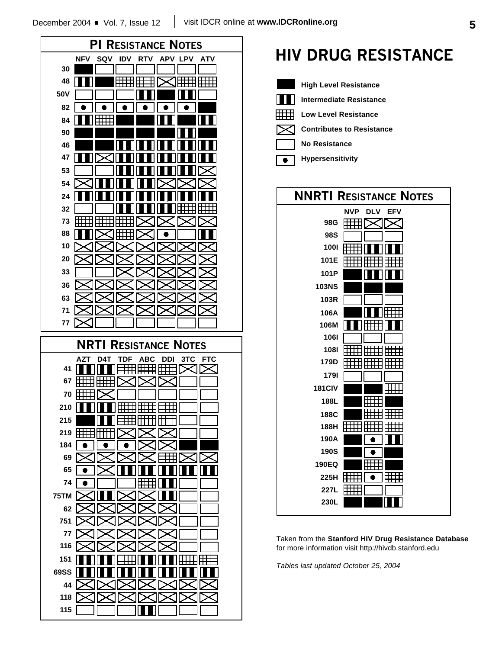

# **HIV DRUG RESISTANCE**



 $\bullet$ 

**High Level Resistance**

- **Intermediate Resistance**
- **Low Level Resistance**
- **Contributes to Resistance**
	- **No Resistance**
- **Hypersensitivity**



Taken from the **Stanford HIV Drug Resistance Database** for more information visit http://hivdb.stanford.edu

*Tables last updated October 25, 2004*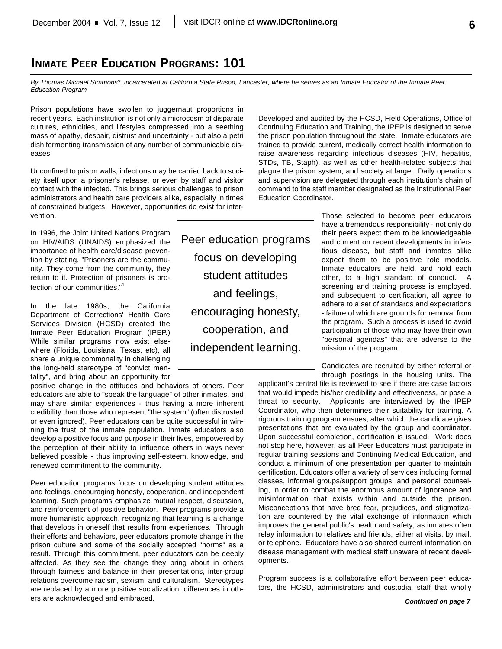### **INMATE PEER EDUCATION PROGRAMS: 101**

*By Thomas Michael Simmons\*, incarcerated at California State Prison, Lancaster, where he serves as an Inmate Educator of the Inmate Peer Education Program*

Prison populations have swollen to juggernaut proportions in recent years. Each institution is not only a microcosm of disparate cultures, ethnicities, and lifestyles compressed into a seething mass of apathy, despair, distrust and uncertainty - but also a petri dish fermenting transmission of any number of communicable diseases.

Unconfined to prison walls, infections may be carried back to society itself upon a prisoner's release, or even by staff and visitor contact with the infected. This brings serious challenges to prison administrators and health care providers alike, especially in times of constrained budgets. However, opportunities do exist for intervention.

In 1996, the Joint United Nations Program on HIV/AIDS (UNAIDS) emphasized the importance of health care/disease prevention by stating, "Prisoners are the community. They come from the community, they return to it. Protection of prisoners is protection of our communities."<sup>1</sup>

In the late 1980s, the California Department of Corrections' Health Care Services Division (HCSD) created the Inmate Peer Education Program (IPEP.) While similar programs now exist elsewhere (Florida, Louisiana, Texas, etc), all share a unique commonality in challenging the long-held stereotype of "convict mentality", and bring about an opportunity for

positive change in the attitudes and behaviors of others. Peer educators are able to "speak the language" of other inmates, and may share similar experiences - thus having a more inherent credibility than those who represent "the system" (often distrusted or even ignored). Peer educators can be quite successful in winning the trust of the inmate population. Inmate educators also develop a positive focus and purpose in their lives, empowered by the perception of their ability to influence others in ways never believed possible - thus improving self-esteem, knowledge, and renewed commitment to the community.

Peer education programs focus on developing student attitudes and feelings, encouraging honesty, cooperation, and independent learning. Such programs emphasize mutual respect, discussion, and reinforcement of positive behavior. Peer programs provide a more humanistic approach, recognizing that learning is a change that develops in oneself that results from experiences. Through their efforts and behaviors, peer educators promote change in the prison culture and some of the socially accepted "norms" as a result. Through this commitment, peer educators can be deeply affected. As they see the change they bring about in others through fairness and balance in their presentations, inter-group relations overcome racism, sexism, and culturalism. Stereotypes are replaced by a more positive socialization; differences in others are acknowledged and embraced.

Peer education programs focus on developing student attitudes and feelings, encouraging honesty, cooperation, and independent learning.

Developed and audited by the HCSD, Field Operations, Office of Continuing Education and Training, the IPEP is designed to serve the prison population throughout the state. Inmate educators are trained to provide current, medically correct health information to raise awareness regarding infectious diseases (HIV, hepatitis, STDs, TB, Staph), as well as other health-related subjects that plague the prison system, and society at large. Daily operations and supervision are delegated through each institution's chain of command to the staff member designated as the Institutional Peer Education Coordinator.

> Those selected to become peer educators have a tremendous responsibility - not only do their peers expect them to be knowledgeable and current on recent developments in infectious disease, but staff and inmates alike expect them to be positive role models. Inmate educators are held, and hold each other, to a high standard of conduct. A screening and training process is employed, and subsequent to certification, all agree to adhere to a set of standards and expectations - failure of which are grounds for removal from the program. Such a process is used to avoid participation of those who may have their own "personal agendas" that are adverse to the mission of the program.

Candidates are recruited by either referral or through postings in the housing units. The

applicant's central file is reviewed to see if there are case factors that would impede his/her credibility and effectiveness, or pose a threat to security. Applicants are interviewed by the IPEP Coordinator, who then determines their suitability for training. A rigorous training program ensues, after which the candidate gives presentations that are evaluated by the group and coordinator. Upon successful completion, certification is issued. Work does not stop here, however, as all Peer Educators must participate in regular training sessions and Continuing Medical Education, and conduct a minimum of one presentation per quarter to maintain certification. Educators offer a variety of services including formal classes, informal groups/support groups, and personal counseling, in order to combat the enormous amount of ignorance and misinformation that exists within and outside the prison. Misconceptions that have bred fear, prejudices, and stigmatization are countered by the vital exchange of information which improves the general public's health and safety, as inmates often relay information to relatives and friends, either at visits, by mail, or telephone. Educators have also shared current information on disease management with medical staff unaware of recent developments.

Program success is a collaborative effort between peer educators, the HCSD, administrators and custodial staff that wholly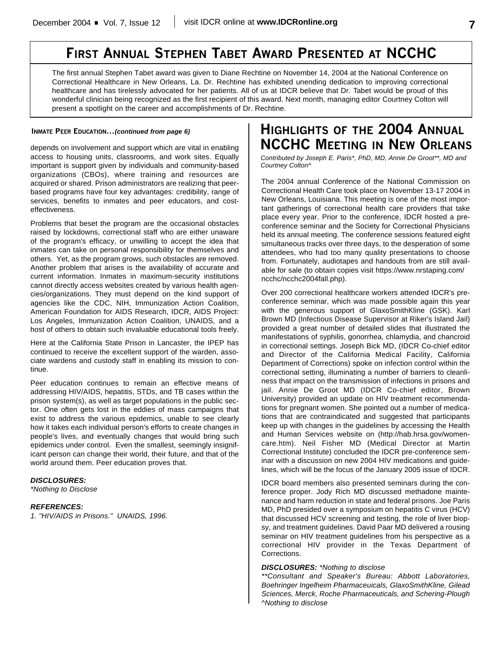### **FIRST ANNUAL STEPHEN TABET AWARD PRESENTED AT NCCHC**

The first annual Stephen Tabet award was given to Diane Rechtine on November 14, 2004 at the National Conference on Correctional Healthcare in New Orleans, La. Dr. Rechtine has exhibited unending dedication to improving correctional healthcare and has tirelessly advocated for her patients. All of us at IDCR believe that Dr. Tabet would be proud of this wonderful clinician being recognized as the first recipient of this award. Next month, managing editor Courtney Colton will present a spotlight on the career and accomplishments of Dr. Rechtine.

#### **INMATE PEER EDUCATION...***(continued from page 6)*

depends on involvement and support which are vital in enabling access to housing units, classrooms, and work sites. Equally important is support given by individuals and community-based organizations (CBOs), where training and resources are acquired or shared. Prison administrators are realizing that peerbased programs have four key advantages: credibility, range of services, benefits to inmates and peer educators, and costeffectiveness.

Problems that beset the program are the occasional obstacles raised by lockdowns, correctional staff who are either unaware of the program's efficacy, or unwilling to accept the idea that inmates can take on personal responsibility for themselves and others. Yet, as the program grows, such obstacles are removed. Another problem that arises is the availability of accurate and current information. Inmates in maximum-security institutions cannot directly access websites created by various health agencies/organizations. They must depend on the kind support of agencies like the CDC, NIH, Immunization Action Coalition, American Foundation for AIDS Research, IDCR, AIDS Project: Los Angeles, Immunization Action Coalition, UNAIDS, and a host of others to obtain such invaluable educational tools freely.

Here at the California State Prison in Lancaster, the IPEP has continued to receive the excellent support of the warden, associate wardens and custody staff in enabling its mission to continue.

Peer education continues to remain an effective means of addressing HIV/AIDS, hepatitis, STDs, and TB cases within the prison system(s), as well as target populations in the public sector. One often gets lost in the eddies of mass campaigns that exist to address the various epidemics, unable to see clearly how it takes each individual person's efforts to create changes in people's lives, and eventually changes that would bring such epidemics under control. Even the smallest, seemingly insignificant person can change their world, their future, and that of the world around them. Peer education proves that.

### *DISCLOSURES:*

*\*Nothing to Disclose*

### *REFERENCES:*

*1. "HIV/AIDS in Prisons." UNAIDS, 1996.*

# **HIGHLIGHTS OF THE 2004 ANNUAL NCCHC MEETING IN NEW ORLEANS**

*Contributed by Joseph E. Paris\*, PhD, MD, Annie De Groot\*\*, MD and Courtney Colton^*

The 2004 annual Conference of the National Commission on Correctional Health Care took place on November 13-17 2004 in New Orleans, Louisiana. This meeting is one of the most important gatherings of correctional health care providers that take place every year. Prior to the conference, IDCR hosted a preconference seminar and the Society for Correctional Physicians held its annual meeting. The conference sessions featured eight simultaneous tracks over three days, to the desperation of some attendees, who had too many quality presentations to choose from. Fortunately, audiotapes and handouts from are still available for sale (to obtain copies visit https://www.nrstaping.com/ ncchc/ncchc2004fall.php).

Over 200 correctional healthcare workers attended IDCR's preconference seminar, which was made possible again this year with the generous support of GlaxoSmithKline (GSK). Karl Brown MD (Infectious Disease Supervisor at Riker's Island Jail) provided a great number of detailed slides that illustrated the manifestations of syphilis, gonorrhea, chlamydia, and chancroid in correctional settings. Joseph Bick MD, (IDCR Co-chief editor and Director of the California Medical Facility, California Department of Corrections) spoke on infection control within the correctional setting, illuminating a number of barriers to cleanliness that impact on the transmission of infections in prisons and jail. Annie De Groot MD (IDCR Co-chief editor, Brown University) provided an update on HIV treatment recommendations for pregnant women. She pointed out a number of medications that are contraindicated and suggested that participants keep up with changes in the guidelines by accessing the Health and Human Services website on (http://hab.hrsa.gov/womencare.htm). Neil Fisher MD (Medical Director at Martin Correctional Institute) concluded the IDCR pre-conference seminar with a discussion on new 2004 HIV medications and guidelines, which will be the focus of the January 2005 issue of IDCR.

IDCR board members also presented seminars during the conference proper. Jody Rich MD discussed methadone maintenance and harm reduction in state and federal prisons. Joe Paris MD, PhD presided over a symposium on hepatitis C virus (HCV) that discussed HCV screening and testing, the role of liver biopsy, and treatment guidelines. David Paar MD delivered a rousing seminar on HIV treatment guidelines from his perspective as a correctional HIV provider in the Texas Department of Corrections.

### *DISCLOSURES: \*Nothing to disclose*

*\*\*Consultant and Speaker's Bureau: Abbott Laboratories, Boehringer Ingelheim Pharmaceuicals, GlaxoSmithKline, Gilead Sciences, Merck, Roche Pharmaceuticals, and Schering-Plough ^Nothing to disclose*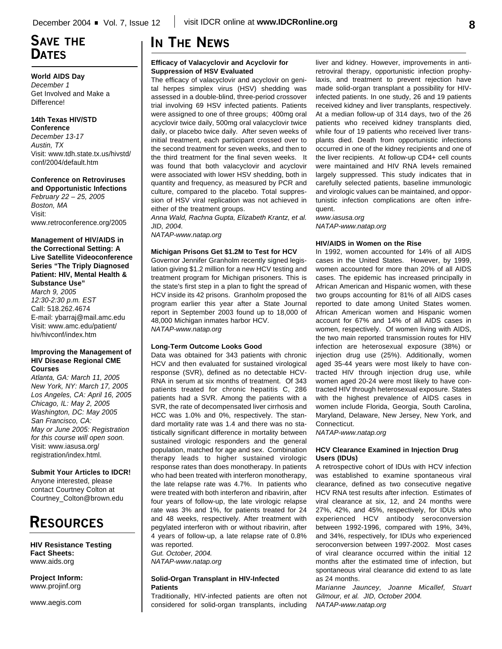### **SAVE THE DATES**

### **World AIDS Day**

*December 1* Get Involved and Make a Difference!

#### **14th Texas HIV/STD Conference**

*December 13-17 Austin, TX* Visit: www.tdh.state.tx.us/hivstd/ conf/2004/default.htm

### **Conference on Retroviruses**

**and Opportunistic Infections** *February 22 – 25, 2005 Boston, MA* Visit: www.retroconference.org/2005

**Management of HIV/AIDS in the Correctional Setting: A Live Satellite Videoconference Series "The Triply Diagnosed Patient: HIV, Mental Health & Substance Use"** *March 9, 2005 12:30-2:30 p.m. EST* Call: 518.262.4674 E-mail: ybarraj@mail.amc.edu Visit: www.amc.edu/patient/ hiv/hivconf/index.htm

#### **Improving the Management of HIV Disease Regional CME Courses**

*Atlanta, GA: March 11, 2005 New York, NY: March 17, 2005 Los Angeles, CA: April 16, 2005 Chicago, IL: May 2, 2005 Washington, DC: May 2005 San Francisco, CA: May or June 2005: Registration for this course will open soon.* Visit: www.iasusa.org/ registration/index.html.

**Submit Your Articles to IDCR!** Anyone interested, please contact Courtney Colton at Courtney\_Colton@brown.edu

# **RESOURCES**

**HIV Resistance Testing Fact Sheets:** www.aids.org

**Project Inform:** www.projinf.org

www.aegis.com

# **IN THE NEWS**

### **Efficacy of Valacyclovir and Acyclovir for Suppression of HSV Evaluated**

The efficacy of valacyclovir and acyclovir on genital herpes simplex virus (HSV) shedding was assessed in a double-blind, three-period crossover trial involving 69 HSV infected patients. Patients were assigned to one of three groups; 400mg oral acyclovir twice daily, 500mg oral valacyclovir twice daily, or placebo twice daily. After seven weeks of initial treatment, each participant crossed over to the second treatment for seven weeks, and then to the third treatment for the final seven weeks. It was found that both valacyclovir and acyclovir were associated with lower HSV shedding, both in quantity and frequency, as measured by PCR and culture, compared to the placebo. Total suppression of HSV viral replication was not achieved in either of the treatment groups.

*Anna Wald, Rachna Gupta, Elizabeth Krantz, et al. JID, 2004.*

*NATAP-www.natap.org*

### **Michigan Prisons Get \$1.2M to Test for HCV**

Governor Jennifer Granholm recently signed legislation giving \$1.2 million for a new HCV testing and treatment program for Michigan prisoners. This is the state's first step in a plan to fight the spread of HCV inside its 42 prisons. Granholm proposed the program earlier this year after a State Journal report in September 2003 found up to 18,000 of 48,000 Michigan inmates harbor HCV. *NATAP-www.natap.org*

### **Long-Term Outcome Looks Good**

Data was obtained for 343 patients with chronic HCV and then evaluated for sustained virological response (SVR), defined as no detectable HCV-RNA in serum at six months of treatment. Of 343 patients treated for chronic hepatitis C, 286 patients had a SVR. Among the patients with a SVR, the rate of decompensated liver cirrhosis and HCC was 1.0% and 0%, respectively. The standard mortality rate was 1.4 and there was no statistically significant difference in mortality between sustained virologic responders and the general population, matched for age and sex. Combination therapy leads to higher sustained virologic response rates than does monotherapy. In patients who had been treated with interferon monotherapy, the late relapse rate was 4.7%. In patients who were treated with both interferon and ribavirin, after four years of follow-up, the late virologic relapse rate was 3% and 1%, for patients treated for 24 and 48 weeks, respectively. After treatment with pegylated interferon with or without ribavirin, after 4 years of follow-up, a late relapse rate of 0.8% was reported.

*Gut. October, 2004. NATAP-www.natap.org*

#### **Solid-Organ Transplant in HIV-Infected Patients**

Traditionally, HIV-infected patients are often not considered for solid-organ transplants, including liver and kidney. However, improvements in antiretroviral therapy, opportunistic infection prophylaxis, and treatment to prevent rejection have made solid-organ transplant a possibility for HIVinfected patients. In one study, 26 and 19 patients received kidney and liver transplants, respectively. At a median follow-up of 314 days, two of the 26 patients who received kidney transplants died, while four of 19 patients who received liver transplants died. Death from opportunistic infections occurred in one of the kidney recipients and one of the liver recipients. At follow-up CD4+ cell counts were maintained and HIV RNA levels remained largely suppressed. This study indicates that in carefully selected patients, baseline immunologic and virologic values can be maintained, and opportunistic infection complications are often infrequent.

*www.iasusa.org NATAP-www.natap.org*

### **HIV/AIDS in Women on the Rise**

In 1992, women accounted for 14% of all AIDS cases in the United States. However, by 1999, women accounted for more than 20% of all AIDS cases. The epidemic has increased principally in African American and Hispanic women, with these two groups accounting for 81% of all AIDS cases reported to date among United States women. African American women and Hispanic women account for 67% and 14% of all AIDS cases in women, respectively. Of women living with AIDS, the two main reported transmission routes for HIV infection are heterosexual exposure (38%) or injection drug use (25%). Additionally, women aged 35-44 years were most likely to have contracted HIV through injection drug use, while women aged 20-24 were most likely to have contracted HIV through heterosexual exposure. States with the highest prevalence of AIDS cases in women include Florida, Georgia, South Carolina, Maryland, Delaware, New Jersey, New York, and Connecticut.

*NATAP-www.natap.org*

### **HCV Clearance Examined in Injection Drug Users (IDUs)**

A retrospective cohort of IDUs with HCV infection was established to examine spontaneous viral clearance, defined as two consecutive negative HCV RNA test results after infection. Estimates of viral clearance at six, 12, and 24 months were 27%, 42%, and 45%, respectively, for IDUs who experienced HCV antibody seroconversion between 1992-1996, compared with 19%, 34%, and 34%, respectively, for IDUs who experienced seroconversion between 1997-2002. Most cases of viral clearance occurred within the initial 12 months after the estimated time of infection, but spontaneous viral clearance did extend to as late as 24 months.

*Marianne Jauncey, Joanne Micallef, Stuart Gilmour, et al. JID, October 2004. NATAP-www.natap.org*